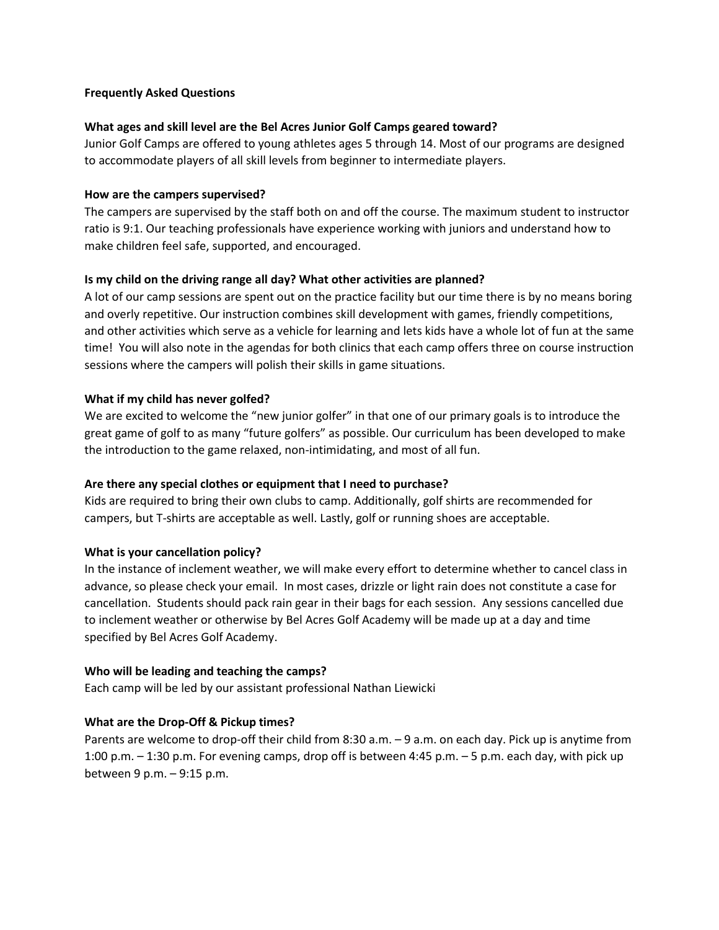# **Frequently Asked Questions**

#### **What ages and skill level are the Bel Acres Junior Golf Camps geared toward?**

Junior Golf Camps are offered to young athletes ages 5 through 14. Most of our programs are designed to accommodate players of all skill levels from beginner to intermediate players.

#### **How are the campers supervised?**

The campers are supervised by the staff both on and off the course. The maximum student to instructor ratio is 9:1. Our teaching professionals have experience working with juniors and understand how to make children feel safe, supported, and encouraged.

#### **Is my child on the driving range all day? What other activities are planned?**

A lot of our camp sessions are spent out on the practice facility but our time there is by no means boring and overly repetitive. Our instruction combines skill development with games, friendly competitions, and other activities which serve as a vehicle for learning and lets kids have a whole lot of fun at the same time! You will also note in the agendas for both clinics that each camp offers three on course instruction sessions where the campers will polish their skills in game situations.

#### **What if my child has never golfed?**

We are excited to welcome the "new junior golfer" in that one of our primary goals is to introduce the great game of golf to as many "future golfers" as possible. Our curriculum has been developed to make the introduction to the game relaxed, non-intimidating, and most of all fun.

# **Are there any special clothes or equipment that I need to purchase?**

Kids are required to bring their own clubs to camp. Additionally, golf shirts are recommended for campers, but T-shirts are acceptable as well. Lastly, golf or running shoes are acceptable.

# **What is your cancellation policy?**

In the instance of inclement weather, we will make every effort to determine whether to cancel class in advance, so please check your email. In most cases, drizzle or light rain does not constitute a case for cancellation. Students should pack rain gear in their bags for each session. Any sessions cancelled due to inclement weather or otherwise by Bel Acres Golf Academy will be made up at a day and time specified by Bel Acres Golf Academy.

# **Who will be leading and teaching the camps?**

Each camp will be led by our assistant professional Nathan Liewicki

# **What are the Drop-Off & Pickup times?**

Parents are welcome to drop-off their child from 8:30 a.m. – 9 a.m. on each day. Pick up is anytime from 1:00 p.m. – 1:30 p.m. For evening camps, drop off is between 4:45 p.m. – 5 p.m. each day, with pick up between 9 p.m. – 9:15 p.m.